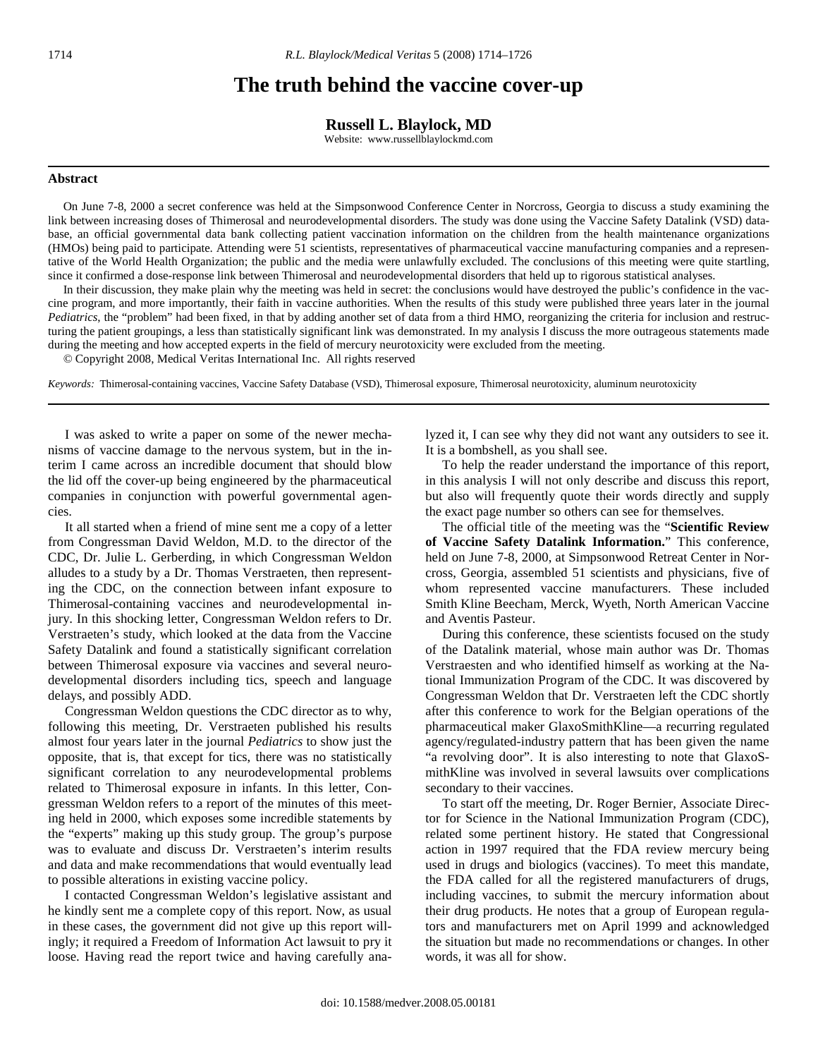# **The truth behind the vaccine cover-up**

**Russell L. Blaylock, MD** 

Website: www.russellblaylockmd.com

## **Abstract**

 On June 7-8, 2000 a secret conference was held at the Simpsonwood Conference Center in Norcross, Georgia to discuss a study examining the link between increasing doses of Thimerosal and neurodevelopmental disorders. The study was done using the Vaccine Safety Datalink (VSD) database, an official governmental data bank collecting patient vaccination information on the children from the health maintenance organizations (HMOs) being paid to participate. Attending were 51 scientists, representatives of pharmaceutical vaccine manufacturing companies and a representative of the World Health Organization; the public and the media were unlawfully excluded. The conclusions of this meeting were quite startling, since it confirmed a dose-response link between Thimerosal and neurodevelopmental disorders that held up to rigorous statistical analyses.

 In their discussion, they make plain why the meeting was held in secret: the conclusions would have destroyed the public's confidence in the vaccine program, and more importantly, their faith in vaccine authorities. When the results of this study were published three years later in the journal *Pediatrics*, the "problem" had been fixed, in that by adding another set of data from a third HMO, reorganizing the criteria for inclusion and restructuring the patient groupings, a less than statistically significant link was demonstrated. In my analysis I discuss the more outrageous statements made during the meeting and how accepted experts in the field of mercury neurotoxicity were excluded from the meeting.

© Copyright 2008, Medical Veritas International Inc. All rights reserved

*Keywords:* Thimerosal-containing vaccines, Vaccine Safety Database (VSD), Thimerosal exposure, Thimerosal neurotoxicity, aluminum neurotoxicity

 I was asked to write a paper on some of the newer mechanisms of vaccine damage to the nervous system, but in the interim I came across an incredible document that should blow the lid off the cover-up being engineered by the pharmaceutical companies in conjunction with powerful governmental agencies.

 It all started when a friend of mine sent me a copy of a letter from Congressman David Weldon, M.D. to the director of the CDC, Dr. Julie L. Gerberding, in which Congressman Weldon alludes to a study by a Dr. Thomas Verstraeten, then representing the CDC, on the connection between infant exposure to Thimerosal-containing vaccines and neurodevelopmental injury. In this shocking letter, Congressman Weldon refers to Dr. Verstraeten's study, which looked at the data from the Vaccine Safety Datalink and found a statistically significant correlation between Thimerosal exposure via vaccines and several neurodevelopmental disorders including tics, speech and language delays, and possibly ADD.

 Congressman Weldon questions the CDC director as to why, following this meeting, Dr. Verstraeten published his results almost four years later in the journal *Pediatrics* to show just the opposite, that is, that except for tics, there was no statistically significant correlation to any neurodevelopmental problems related to Thimerosal exposure in infants. In this letter, Congressman Weldon refers to a report of the minutes of this meeting held in 2000, which exposes some incredible statements by the "experts" making up this study group. The group's purpose was to evaluate and discuss Dr. Verstraeten's interim results and data and make recommendations that would eventually lead to possible alterations in existing vaccine policy.

 I contacted Congressman Weldon's legislative assistant and he kindly sent me a complete copy of this report. Now, as usual in these cases, the government did not give up this report willingly; it required a Freedom of Information Act lawsuit to pry it loose. Having read the report twice and having carefully analyzed it, I can see why they did not want any outsiders to see it. It is a bombshell, as you shall see.

 To help the reader understand the importance of this report, in this analysis I will not only describe and discuss this report, but also will frequently quote their words directly and supply the exact page number so others can see for themselves.

 The official title of the meeting was the "**Scientific Review of Vaccine Safety Datalink Information.**" This conference, held on June 7-8, 2000, at Simpsonwood Retreat Center in Norcross, Georgia, assembled 51 scientists and physicians, five of whom represented vaccine manufacturers. These included Smith Kline Beecham, Merck, Wyeth, North American Vaccine and Aventis Pasteur.

 During this conference, these scientists focused on the study of the Datalink material, whose main author was Dr. Thomas Verstraesten and who identified himself as working at the National Immunization Program of the CDC. It was discovered by Congressman Weldon that Dr. Verstraeten left the CDC shortly after this conference to work for the Belgian operations of the pharmaceutical maker GlaxoSmithKline—a recurring regulated agency/regulated-industry pattern that has been given the name "a revolving door". It is also interesting to note that GlaxoSmithKline was involved in several lawsuits over complications secondary to their vaccines.

 To start off the meeting, Dr. Roger Bernier, Associate Director for Science in the National Immunization Program (CDC), related some pertinent history. He stated that Congressional action in 1997 required that the FDA review mercury being used in drugs and biologics (vaccines). To meet this mandate, the FDA called for all the registered manufacturers of drugs, including vaccines, to submit the mercury information about their drug products. He notes that a group of European regulators and manufacturers met on April 1999 and acknowledged the situation but made no recommendations or changes. In other words, it was all for show.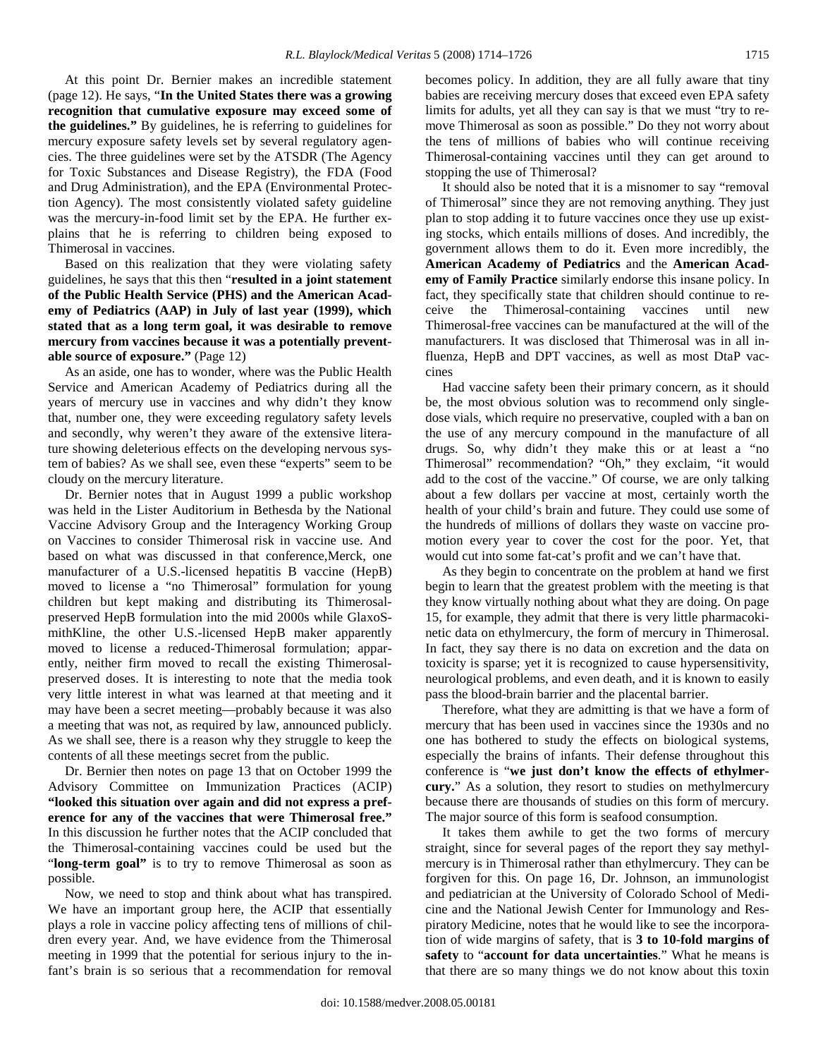At this point Dr. Bernier makes an incredible statement (page 12). He says, "**In the United States there was a growing recognition that cumulative exposure may exceed some of the guidelines."** By guidelines, he is referring to guidelines for mercury exposure safety levels set by several regulatory agencies. The three guidelines were set by the ATSDR (The Agency for Toxic Substances and Disease Registry), the FDA (Food and Drug Administration), and the EPA (Environmental Protection Agency). The most consistently violated safety guideline was the mercury-in-food limit set by the EPA. He further explains that he is referring to children being exposed to Thimerosal in vaccines.

 Based on this realization that they were violating safety guidelines, he says that this then "**resulted in a joint statement of the Public Health Service (PHS) and the American Academy of Pediatrics (AAP) in July of last year (1999), which stated that as a long term goal, it was desirable to remove mercury from vaccines because it was a potentially preventable source of exposure."** (Page 12)

 As an aside, one has to wonder, where was the Public Health Service and American Academy of Pediatrics during all the years of mercury use in vaccines and why didn't they know that, number one, they were exceeding regulatory safety levels and secondly, why weren't they aware of the extensive literature showing deleterious effects on the developing nervous system of babies? As we shall see, even these "experts" seem to be cloudy on the mercury literature.

 Dr. Bernier notes that in August 1999 a public workshop was held in the Lister Auditorium in Bethesda by the National Vaccine Advisory Group and the Interagency Working Group on Vaccines to consider Thimerosal risk in vaccine use. And based on what was discussed in that conference,Merck, one manufacturer of a U.S.-licensed hepatitis B vaccine (HepB) moved to license a "no Thimerosal" formulation for young children but kept making and distributing its Thimerosalpreserved HepB formulation into the mid 2000s while GlaxoSmithKline, the other U.S.-licensed HepB maker apparently moved to license a reduced-Thimerosal formulation; apparently, neither firm moved to recall the existing Thimerosalpreserved doses. It is interesting to note that the media took very little interest in what was learned at that meeting and it may have been a secret meeting—probably because it was also a meeting that was not, as required by law, announced publicly. As we shall see, there is a reason why they struggle to keep the contents of all these meetings secret from the public.

 Dr. Bernier then notes on page 13 that on October 1999 the Advisory Committee on Immunization Practices (ACIP) **"looked this situation over again and did not express a preference for any of the vaccines that were Thimerosal free."**  In this discussion he further notes that the ACIP concluded that the Thimerosal-containing vaccines could be used but the "**long-term goal"** is to try to remove Thimerosal as soon as possible.

 Now, we need to stop and think about what has transpired. We have an important group here, the ACIP that essentially plays a role in vaccine policy affecting tens of millions of children every year. And, we have evidence from the Thimerosal meeting in 1999 that the potential for serious injury to the infant's brain is so serious that a recommendation for removal becomes policy. In addition, they are all fully aware that tiny babies are receiving mercury doses that exceed even EPA safety limits for adults, yet all they can say is that we must "try to remove Thimerosal as soon as possible." Do they not worry about the tens of millions of babies who will continue receiving Thimerosal-containing vaccines until they can get around to stopping the use of Thimerosal?

 It should also be noted that it is a misnomer to say "removal of Thimerosal" since they are not removing anything. They just plan to stop adding it to future vaccines once they use up existing stocks, which entails millions of doses. And incredibly, the government allows them to do it. Even more incredibly, the **American Academy of Pediatrics** and the **American Academy of Family Practice** similarly endorse this insane policy. In fact, they specifically state that children should continue to receive the Thimerosal-containing vaccines until new Thimerosal-free vaccines can be manufactured at the will of the manufacturers. It was disclosed that Thimerosal was in all influenza, HepB and DPT vaccines, as well as most DtaP vaccines

 Had vaccine safety been their primary concern, as it should be, the most obvious solution was to recommend only singledose vials, which require no preservative, coupled with a ban on the use of any mercury compound in the manufacture of all drugs. So, why didn't they make this or at least a "no Thimerosal" recommendation? "Oh," they exclaim, "it would add to the cost of the vaccine." Of course, we are only talking about a few dollars per vaccine at most, certainly worth the health of your child's brain and future. They could use some of the hundreds of millions of dollars they waste on vaccine promotion every year to cover the cost for the poor. Yet, that would cut into some fat-cat's profit and we can't have that.

 As they begin to concentrate on the problem at hand we first begin to learn that the greatest problem with the meeting is that they know virtually nothing about what they are doing. On page 15, for example, they admit that there is very little pharmacokinetic data on ethylmercury, the form of mercury in Thimerosal. In fact, they say there is no data on excretion and the data on toxicity is sparse; yet it is recognized to cause hypersensitivity, neurological problems, and even death, and it is known to easily pass the blood-brain barrier and the placental barrier.

 Therefore, what they are admitting is that we have a form of mercury that has been used in vaccines since the 1930s and no one has bothered to study the effects on biological systems, especially the brains of infants. Their defense throughout this conference is "**we just don't know the effects of ethylmercury.**" As a solution, they resort to studies on methylmercury because there are thousands of studies on this form of mercury. The major source of this form is seafood consumption.

 It takes them awhile to get the two forms of mercury straight, since for several pages of the report they say methylmercury is in Thimerosal rather than ethylmercury. They can be forgiven for this. On page 16, Dr. Johnson, an immunologist and pediatrician at the University of Colorado School of Medicine and the National Jewish Center for Immunology and Respiratory Medicine, notes that he would like to see the incorporation of wide margins of safety, that is **3 to 10-fold margins of safety** to "**account for data uncertainties**." What he means is that there are so many things we do not know about this toxin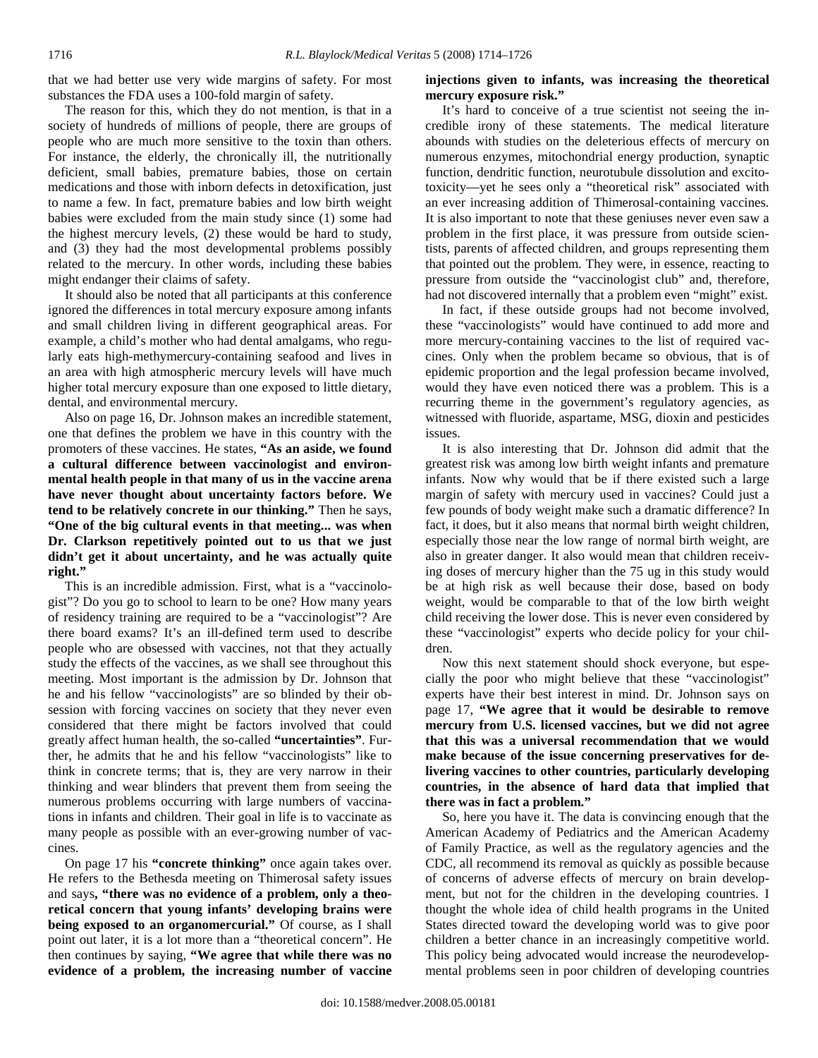that we had better use very wide margins of safety. For most substances the FDA uses a 100-fold margin of safety.

 The reason for this, which they do not mention, is that in a society of hundreds of millions of people, there are groups of people who are much more sensitive to the toxin than others. For instance, the elderly, the chronically ill, the nutritionally deficient, small babies, premature babies, those on certain medications and those with inborn defects in detoxification, just to name a few. In fact, premature babies and low birth weight babies were excluded from the main study since (1) some had the highest mercury levels, (2) these would be hard to study, and (3) they had the most developmental problems possibly related to the mercury. In other words, including these babies might endanger their claims of safety.

 It should also be noted that all participants at this conference ignored the differences in total mercury exposure among infants and small children living in different geographical areas. For example, a child's mother who had dental amalgams, who regularly eats high-methymercury-containing seafood and lives in an area with high atmospheric mercury levels will have much higher total mercury exposure than one exposed to little dietary, dental, and environmental mercury.

 Also on page 16, Dr. Johnson makes an incredible statement, one that defines the problem we have in this country with the promoters of these vaccines. He states, **"As an aside, we found a cultural difference between vaccinologist and environmental health people in that many of us in the vaccine arena have never thought about uncertainty factors before. We tend to be relatively concrete in our thinking."** Then he says, **"One of the big cultural events in that meeting... was when Dr. Clarkson repetitively pointed out to us that we just didn't get it about uncertainty, and he was actually quite right."** 

 This is an incredible admission. First, what is a "vaccinologist"? Do you go to school to learn to be one? How many years of residency training are required to be a "vaccinologist"? Are there board exams? It's an ill-defined term used to describe people who are obsessed with vaccines, not that they actually study the effects of the vaccines, as we shall see throughout this meeting. Most important is the admission by Dr. Johnson that he and his fellow "vaccinologists" are so blinded by their obsession with forcing vaccines on society that they never even considered that there might be factors involved that could greatly affect human health, the so-called **"uncertainties"**. Further, he admits that he and his fellow "vaccinologists" like to think in concrete terms; that is, they are very narrow in their thinking and wear blinders that prevent them from seeing the numerous problems occurring with large numbers of vaccinations in infants and children. Their goal in life is to vaccinate as many people as possible with an ever-growing number of vaccines.

 On page 17 his **"concrete thinking"** once again takes over. He refers to the Bethesda meeting on Thimerosal safety issues and says**, "there was no evidence of a problem, only a theoretical concern that young infants' developing brains were being exposed to an organomercurial."** Of course, as I shall point out later, it is a lot more than a "theoretical concern". He then continues by saying, **"We agree that while there was no evidence of a problem, the increasing number of vaccine** 

# **injections given to infants, was increasing the theoretical mercury exposure risk."**

 It's hard to conceive of a true scientist not seeing the incredible irony of these statements. The medical literature abounds with studies on the deleterious effects of mercury on numerous enzymes, mitochondrial energy production, synaptic function, dendritic function, neurotubule dissolution and excitotoxicity—yet he sees only a "theoretical risk" associated with an ever increasing addition of Thimerosal-containing vaccines. It is also important to note that these geniuses never even saw a problem in the first place, it was pressure from outside scientists, parents of affected children, and groups representing them that pointed out the problem. They were, in essence, reacting to pressure from outside the "vaccinologist club" and, therefore, had not discovered internally that a problem even "might" exist.

 In fact, if these outside groups had not become involved, these "vaccinologists" would have continued to add more and more mercury-containing vaccines to the list of required vaccines. Only when the problem became so obvious, that is of epidemic proportion and the legal profession became involved, would they have even noticed there was a problem. This is a recurring theme in the government's regulatory agencies, as witnessed with fluoride, aspartame, MSG, dioxin and pesticides issues.

 It is also interesting that Dr. Johnson did admit that the greatest risk was among low birth weight infants and premature infants. Now why would that be if there existed such a large margin of safety with mercury used in vaccines? Could just a few pounds of body weight make such a dramatic difference? In fact, it does, but it also means that normal birth weight children, especially those near the low range of normal birth weight, are also in greater danger. It also would mean that children receiving doses of mercury higher than the 75 ug in this study would be at high risk as well because their dose, based on body weight, would be comparable to that of the low birth weight child receiving the lower dose. This is never even considered by these "vaccinologist" experts who decide policy for your children.

 Now this next statement should shock everyone, but especially the poor who might believe that these "vaccinologist" experts have their best interest in mind. Dr. Johnson says on page 17, **"We agree that it would be desirable to remove mercury from U.S. licensed vaccines, but we did not agree that this was a universal recommendation that we would make because of the issue concerning preservatives for delivering vaccines to other countries, particularly developing countries, in the absence of hard data that implied that there was in fact a problem."** 

 So, here you have it. The data is convincing enough that the American Academy of Pediatrics and the American Academy of Family Practice, as well as the regulatory agencies and the CDC, all recommend its removal as quickly as possible because of concerns of adverse effects of mercury on brain development, but not for the children in the developing countries. I thought the whole idea of child health programs in the United States directed toward the developing world was to give poor children a better chance in an increasingly competitive world. This policy being advocated would increase the neurodevelopmental problems seen in poor children of developing countries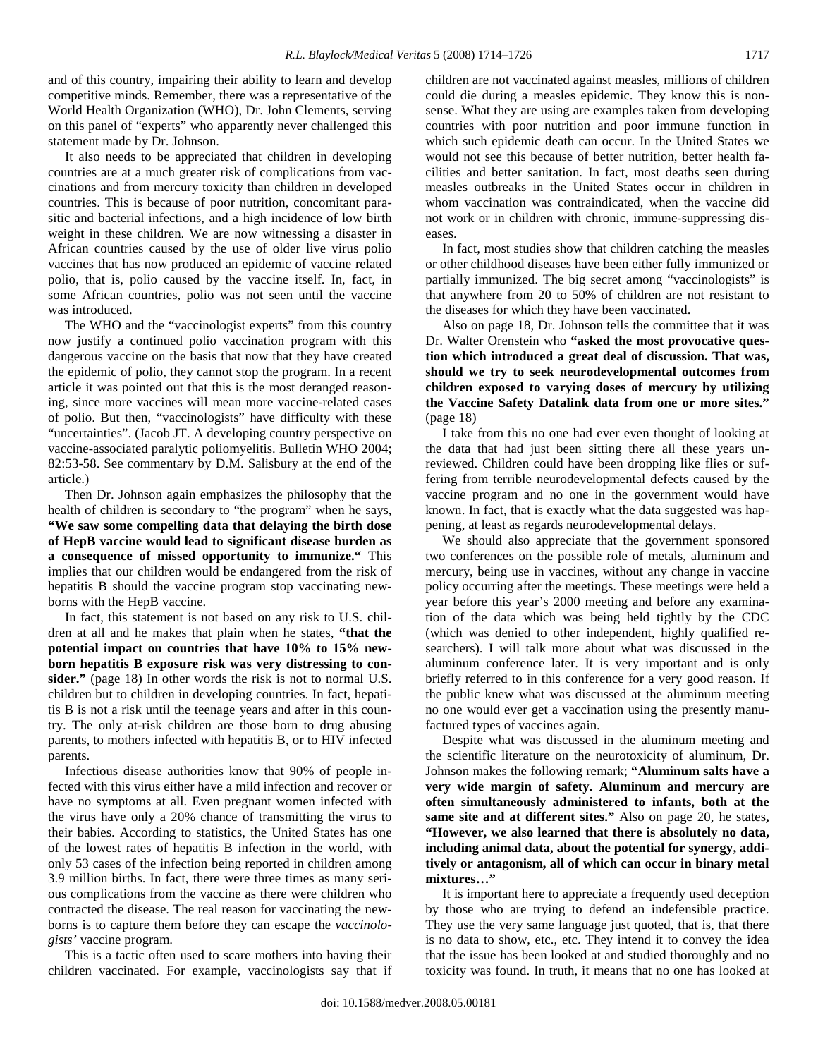and of this country, impairing their ability to learn and develop competitive minds. Remember, there was a representative of the World Health Organization (WHO), Dr. John Clements, serving on this panel of "experts" who apparently never challenged this statement made by Dr. Johnson.

 It also needs to be appreciated that children in developing countries are at a much greater risk of complications from vaccinations and from mercury toxicity than children in developed countries. This is because of poor nutrition, concomitant parasitic and bacterial infections, and a high incidence of low birth weight in these children. We are now witnessing a disaster in African countries caused by the use of older live virus polio vaccines that has now produced an epidemic of vaccine related polio, that is, polio caused by the vaccine itself. In, fact, in some African countries, polio was not seen until the vaccine was introduced.

 The WHO and the "vaccinologist experts" from this country now justify a continued polio vaccination program with this dangerous vaccine on the basis that now that they have created the epidemic of polio, they cannot stop the program. In a recent article it was pointed out that this is the most deranged reasoning, since more vaccines will mean more vaccine-related cases of polio. But then, "vaccinologists" have difficulty with these "uncertainties". (Jacob JT. A developing country perspective on vaccine-associated paralytic poliomyelitis. Bulletin WHO 2004; 82:53-58. See commentary by D.M. Salisbury at the end of the article.)

 Then Dr. Johnson again emphasizes the philosophy that the health of children is secondary to "the program" when he says, **"We saw some compelling data that delaying the birth dose of HepB vaccine would lead to significant disease burden as a consequence of missed opportunity to immunize."** This implies that our children would be endangered from the risk of hepatitis B should the vaccine program stop vaccinating newborns with the HepB vaccine.

 In fact, this statement is not based on any risk to U.S. children at all and he makes that plain when he states, **"that the potential impact on countries that have 10% to 15% newborn hepatitis B exposure risk was very distressing to consider."** (page 18) In other words the risk is not to normal U.S. children but to children in developing countries. In fact, hepatitis B is not a risk until the teenage years and after in this country. The only at-risk children are those born to drug abusing parents, to mothers infected with hepatitis B, or to HIV infected parents.

 Infectious disease authorities know that 90% of people infected with this virus either have a mild infection and recover or have no symptoms at all. Even pregnant women infected with the virus have only a 20% chance of transmitting the virus to their babies. According to statistics, the United States has one of the lowest rates of hepatitis B infection in the world, with only 53 cases of the infection being reported in children among 3.9 million births. In fact, there were three times as many serious complications from the vaccine as there were children who contracted the disease. The real reason for vaccinating the newborns is to capture them before they can escape the *vaccinologists'* vaccine program.

 This is a tactic often used to scare mothers into having their children vaccinated. For example, vaccinologists say that if children are not vaccinated against measles, millions of children could die during a measles epidemic. They know this is nonsense. What they are using are examples taken from developing countries with poor nutrition and poor immune function in which such epidemic death can occur. In the United States we would not see this because of better nutrition, better health facilities and better sanitation. In fact, most deaths seen during measles outbreaks in the United States occur in children in whom vaccination was contraindicated, when the vaccine did not work or in children with chronic, immune-suppressing diseases.

 In fact, most studies show that children catching the measles or other childhood diseases have been either fully immunized or partially immunized. The big secret among "vaccinologists" is that anywhere from 20 to 50% of children are not resistant to the diseases for which they have been vaccinated.

 Also on page 18, Dr. Johnson tells the committee that it was Dr. Walter Orenstein who **"asked the most provocative question which introduced a great deal of discussion. That was, should we try to seek neurodevelopmental outcomes from children exposed to varying doses of mercury by utilizing the Vaccine Safety Datalink data from one or more sites."**  (page 18)

 I take from this no one had ever even thought of looking at the data that had just been sitting there all these years unreviewed. Children could have been dropping like flies or suffering from terrible neurodevelopmental defects caused by the vaccine program and no one in the government would have known. In fact, that is exactly what the data suggested was happening, at least as regards neurodevelopmental delays.

 We should also appreciate that the government sponsored two conferences on the possible role of metals, aluminum and mercury, being use in vaccines, without any change in vaccine policy occurring after the meetings. These meetings were held a year before this year's 2000 meeting and before any examination of the data which was being held tightly by the CDC (which was denied to other independent, highly qualified researchers). I will talk more about what was discussed in the aluminum conference later. It is very important and is only briefly referred to in this conference for a very good reason. If the public knew what was discussed at the aluminum meeting no one would ever get a vaccination using the presently manufactured types of vaccines again.

 Despite what was discussed in the aluminum meeting and the scientific literature on the neurotoxicity of aluminum, Dr. Johnson makes the following remark; **"Aluminum salts have a very wide margin of safety. Aluminum and mercury are often simultaneously administered to infants, both at the same site and at different sites."** Also on page 20, he states**, "However, we also learned that there is absolutely no data, including animal data, about the potential for synergy, additively or antagonism, all of which can occur in binary metal mixtures…"**

 It is important here to appreciate a frequently used deception by those who are trying to defend an indefensible practice. They use the very same language just quoted, that is, that there is no data to show, etc., etc. They intend it to convey the idea that the issue has been looked at and studied thoroughly and no toxicity was found. In truth, it means that no one has looked at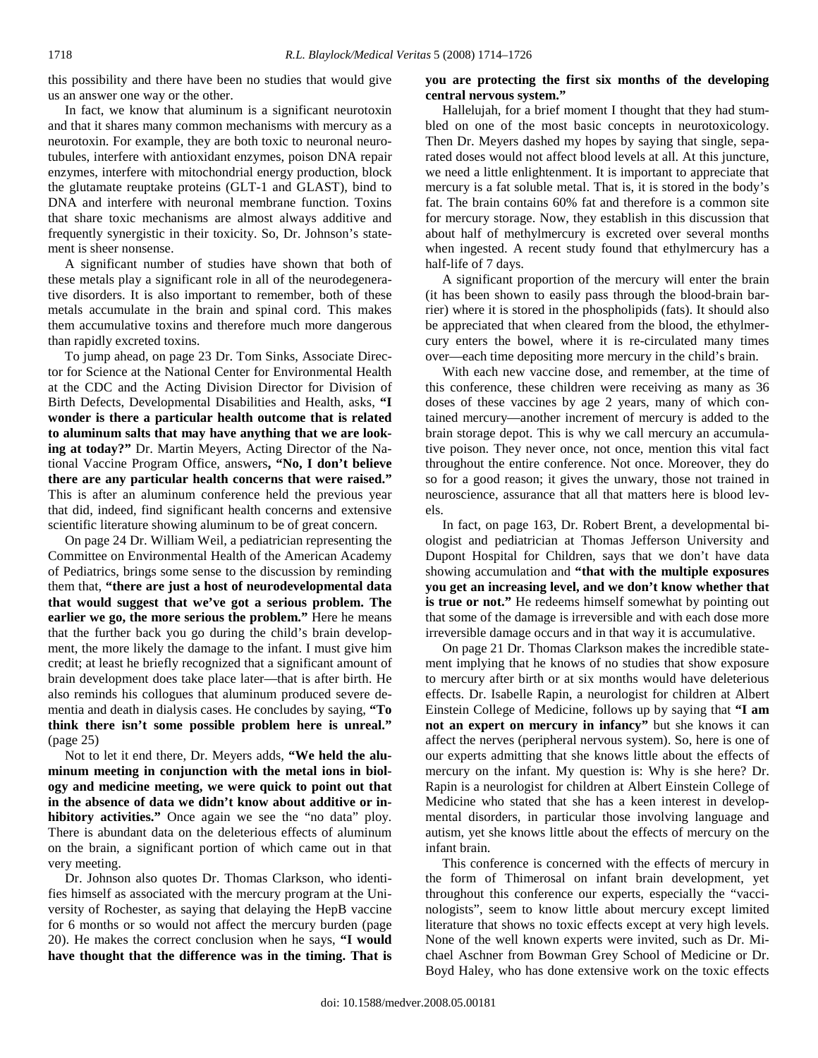this possibility and there have been no studies that would give us an answer one way or the other.

 In fact, we know that aluminum is a significant neurotoxin and that it shares many common mechanisms with mercury as a neurotoxin. For example, they are both toxic to neuronal neurotubules, interfere with antioxidant enzymes, poison DNA repair enzymes, interfere with mitochondrial energy production, block the glutamate reuptake proteins (GLT-1 and GLAST), bind to DNA and interfere with neuronal membrane function. Toxins that share toxic mechanisms are almost always additive and frequently synergistic in their toxicity. So, Dr. Johnson's statement is sheer nonsense.

 A significant number of studies have shown that both of these metals play a significant role in all of the neurodegenerative disorders. It is also important to remember, both of these metals accumulate in the brain and spinal cord. This makes them accumulative toxins and therefore much more dangerous than rapidly excreted toxins.

 To jump ahead, on page 23 Dr. Tom Sinks, Associate Director for Science at the National Center for Environmental Health at the CDC and the Acting Division Director for Division of Birth Defects, Developmental Disabilities and Health, asks, **"I wonder is there a particular health outcome that is related to aluminum salts that may have anything that we are looking at today?"** Dr. Martin Meyers, Acting Director of the National Vaccine Program Office, answers**, "No, I don't believe there are any particular health concerns that were raised."** This is after an aluminum conference held the previous year that did, indeed, find significant health concerns and extensive scientific literature showing aluminum to be of great concern.

 On page 24 Dr. William Weil, a pediatrician representing the Committee on Environmental Health of the American Academy of Pediatrics, brings some sense to the discussion by reminding them that, **"there are just a host of neurodevelopmental data that would suggest that we've got a serious problem. The earlier we go, the more serious the problem."** Here he means that the further back you go during the child's brain development, the more likely the damage to the infant. I must give him credit; at least he briefly recognized that a significant amount of brain development does take place later—that is after birth. He also reminds his collogues that aluminum produced severe dementia and death in dialysis cases. He concludes by saying, **"To think there isn't some possible problem here is unreal."** (page 25)

 Not to let it end there, Dr. Meyers adds, **"We held the aluminum meeting in conjunction with the metal ions in biology and medicine meeting, we were quick to point out that in the absence of data we didn't know about additive or inhibitory activities."** Once again we see the "no data" ploy. There is abundant data on the deleterious effects of aluminum on the brain, a significant portion of which came out in that very meeting.

 Dr. Johnson also quotes Dr. Thomas Clarkson, who identifies himself as associated with the mercury program at the University of Rochester, as saying that delaying the HepB vaccine for 6 months or so would not affect the mercury burden (page 20). He makes the correct conclusion when he says, **"I would have thought that the difference was in the timing. That is** 

# **you are protecting the first six months of the developing central nervous system."**

 Hallelujah, for a brief moment I thought that they had stumbled on one of the most basic concepts in neurotoxicology. Then Dr. Meyers dashed my hopes by saying that single, separated doses would not affect blood levels at all. At this juncture, we need a little enlightenment. It is important to appreciate that mercury is a fat soluble metal. That is, it is stored in the body's fat. The brain contains 60% fat and therefore is a common site for mercury storage. Now, they establish in this discussion that about half of methylmercury is excreted over several months when ingested. A recent study found that ethylmercury has a half-life of 7 days.

 A significant proportion of the mercury will enter the brain (it has been shown to easily pass through the blood-brain barrier) where it is stored in the phospholipids (fats). It should also be appreciated that when cleared from the blood, the ethylmercury enters the bowel, where it is re-circulated many times over—each time depositing more mercury in the child's brain.

 With each new vaccine dose, and remember, at the time of this conference, these children were receiving as many as 36 doses of these vaccines by age 2 years, many of which contained mercury—another increment of mercury is added to the brain storage depot. This is why we call mercury an accumulative poison. They never once, not once, mention this vital fact throughout the entire conference. Not once. Moreover, they do so for a good reason; it gives the unwary, those not trained in neuroscience, assurance that all that matters here is blood levels.

 In fact, on page 163, Dr. Robert Brent, a developmental biologist and pediatrician at Thomas Jefferson University and Dupont Hospital for Children, says that we don't have data showing accumulation and **"that with the multiple exposures you get an increasing level, and we don't know whether that is true or not."** He redeems himself somewhat by pointing out that some of the damage is irreversible and with each dose more irreversible damage occurs and in that way it is accumulative.

 On page 21 Dr. Thomas Clarkson makes the incredible statement implying that he knows of no studies that show exposure to mercury after birth or at six months would have deleterious effects. Dr. Isabelle Rapin, a neurologist for children at Albert Einstein College of Medicine, follows up by saying that **"I am not an expert on mercury in infancy"** but she knows it can affect the nerves (peripheral nervous system). So, here is one of our experts admitting that she knows little about the effects of mercury on the infant. My question is: Why is she here? Dr. Rapin is a neurologist for children at Albert Einstein College of Medicine who stated that she has a keen interest in developmental disorders, in particular those involving language and autism, yet she knows little about the effects of mercury on the infant brain.

 This conference is concerned with the effects of mercury in the form of Thimerosal on infant brain development, yet throughout this conference our experts, especially the "vaccinologists", seem to know little about mercury except limited literature that shows no toxic effects except at very high levels. None of the well known experts were invited, such as Dr. Michael Aschner from Bowman Grey School of Medicine or Dr. Boyd Haley, who has done extensive work on the toxic effects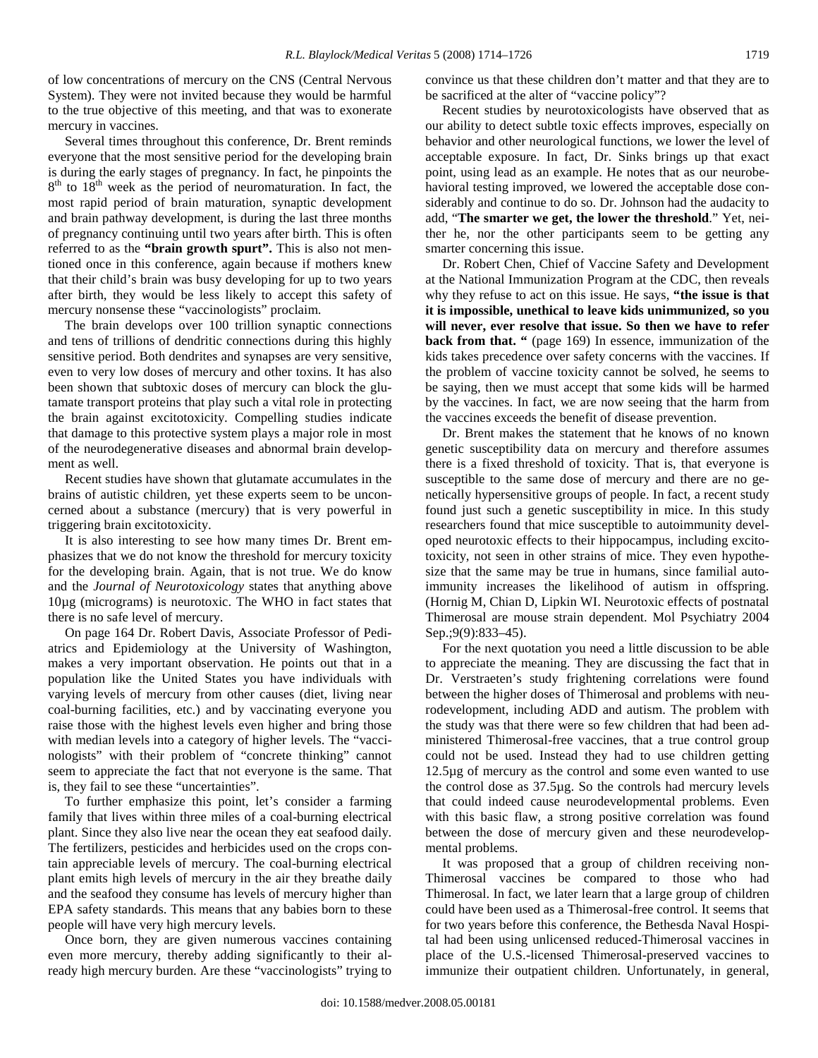of low concentrations of mercury on the CNS (Central Nervous System). They were not invited because they would be harmful to the true objective of this meeting, and that was to exonerate mercury in vaccines.

 Several times throughout this conference, Dr. Brent reminds everyone that the most sensitive period for the developing brain is during the early stages of pregnancy. In fact, he pinpoints the 8<sup>th</sup> to 18<sup>th</sup> week as the period of neuromaturation. In fact, the most rapid period of brain maturation, synaptic development and brain pathway development, is during the last three months of pregnancy continuing until two years after birth. This is often referred to as the **"brain growth spurt".** This is also not mentioned once in this conference, again because if mothers knew that their child's brain was busy developing for up to two years after birth, they would be less likely to accept this safety of mercury nonsense these "vaccinologists" proclaim.

 The brain develops over 100 trillion synaptic connections and tens of trillions of dendritic connections during this highly sensitive period. Both dendrites and synapses are very sensitive, even to very low doses of mercury and other toxins. It has also been shown that subtoxic doses of mercury can block the glutamate transport proteins that play such a vital role in protecting the brain against excitotoxicity. Compelling studies indicate that damage to this protective system plays a major role in most of the neurodegenerative diseases and abnormal brain development as well.

 Recent studies have shown that glutamate accumulates in the brains of autistic children, yet these experts seem to be unconcerned about a substance (mercury) that is very powerful in triggering brain excitotoxicity.

 It is also interesting to see how many times Dr. Brent emphasizes that we do not know the threshold for mercury toxicity for the developing brain. Again, that is not true. We do know and the *Journal of Neurotoxicology* states that anything above 10µg (micrograms) is neurotoxic. The WHO in fact states that there is no safe level of mercury.

 On page 164 Dr. Robert Davis, Associate Professor of Pediatrics and Epidemiology at the University of Washington, makes a very important observation. He points out that in a population like the United States you have individuals with varying levels of mercury from other causes (diet, living near coal-burning facilities, etc.) and by vaccinating everyone you raise those with the highest levels even higher and bring those with median levels into a category of higher levels. The "vaccinologists" with their problem of "concrete thinking" cannot seem to appreciate the fact that not everyone is the same. That is, they fail to see these "uncertainties".

 To further emphasize this point, let's consider a farming family that lives within three miles of a coal-burning electrical plant. Since they also live near the ocean they eat seafood daily. The fertilizers, pesticides and herbicides used on the crops contain appreciable levels of mercury. The coal-burning electrical plant emits high levels of mercury in the air they breathe daily and the seafood they consume has levels of mercury higher than EPA safety standards. This means that any babies born to these people will have very high mercury levels.

 Once born, they are given numerous vaccines containing even more mercury, thereby adding significantly to their already high mercury burden. Are these "vaccinologists" trying to convince us that these children don't matter and that they are to be sacrificed at the alter of "vaccine policy"?

 Recent studies by neurotoxicologists have observed that as our ability to detect subtle toxic effects improves, especially on behavior and other neurological functions, we lower the level of acceptable exposure. In fact, Dr. Sinks brings up that exact point, using lead as an example. He notes that as our neurobehavioral testing improved, we lowered the acceptable dose considerably and continue to do so. Dr. Johnson had the audacity to add, "**The smarter we get, the lower the threshold**." Yet, neither he, nor the other participants seem to be getting any smarter concerning this issue.

 Dr. Robert Chen, Chief of Vaccine Safety and Development at the National Immunization Program at the CDC, then reveals why they refuse to act on this issue. He says, **"the issue is that it is impossible, unethical to leave kids unimmunized, so you will never, ever resolve that issue. So then we have to refer back from that.** " (page 169) In essence, immunization of the kids takes precedence over safety concerns with the vaccines. If the problem of vaccine toxicity cannot be solved, he seems to be saying, then we must accept that some kids will be harmed by the vaccines. In fact, we are now seeing that the harm from the vaccines exceeds the benefit of disease prevention.

 Dr. Brent makes the statement that he knows of no known genetic susceptibility data on mercury and therefore assumes there is a fixed threshold of toxicity. That is, that everyone is susceptible to the same dose of mercury and there are no genetically hypersensitive groups of people. In fact, a recent study found just such a genetic susceptibility in mice. In this study researchers found that mice susceptible to autoimmunity developed neurotoxic effects to their hippocampus, including excitotoxicity, not seen in other strains of mice. They even hypothesize that the same may be true in humans, since familial autoimmunity increases the likelihood of autism in offspring. (Hornig M, Chian D, Lipkin WI. Neurotoxic effects of postnatal Thimerosal are mouse strain dependent. Mol Psychiatry 2004 Sep.;9(9):833–45).

 For the next quotation you need a little discussion to be able to appreciate the meaning. They are discussing the fact that in Dr. Verstraeten's study frightening correlations were found between the higher doses of Thimerosal and problems with neurodevelopment, including ADD and autism. The problem with the study was that there were so few children that had been administered Thimerosal-free vaccines, that a true control group could not be used. Instead they had to use children getting 12.5µg of mercury as the control and some even wanted to use the control dose as 37.5µg. So the controls had mercury levels that could indeed cause neurodevelopmental problems. Even with this basic flaw, a strong positive correlation was found between the dose of mercury given and these neurodevelopmental problems.

 It was proposed that a group of children receiving non-Thimerosal vaccines be compared to those who had Thimerosal. In fact, we later learn that a large group of children could have been used as a Thimerosal-free control. It seems that for two years before this conference, the Bethesda Naval Hospital had been using unlicensed reduced-Thimerosal vaccines in place of the U.S.-licensed Thimerosal-preserved vaccines to immunize their outpatient children. Unfortunately, in general,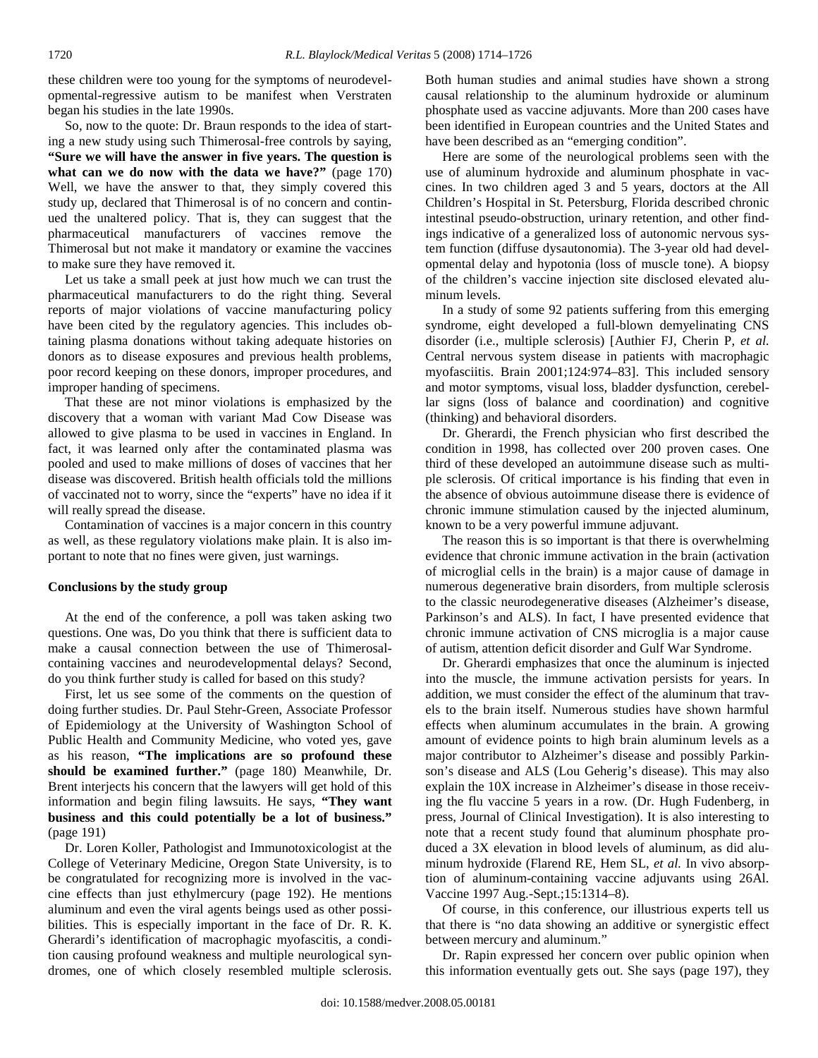these children were too young for the symptoms of neurodevelopmental-regressive autism to be manifest when Verstraten began his studies in the late 1990s.

 So, now to the quote: Dr. Braun responds to the idea of starting a new study using such Thimerosal-free controls by saying, **"Sure we will have the answer in five years. The question is what can we do now with the data we have?"** (page 170) Well, we have the answer to that, they simply covered this study up, declared that Thimerosal is of no concern and continued the unaltered policy. That is, they can suggest that the pharmaceutical manufacturers of vaccines remove the Thimerosal but not make it mandatory or examine the vaccines to make sure they have removed it.

 Let us take a small peek at just how much we can trust the pharmaceutical manufacturers to do the right thing. Several reports of major violations of vaccine manufacturing policy have been cited by the regulatory agencies. This includes obtaining plasma donations without taking adequate histories on donors as to disease exposures and previous health problems, poor record keeping on these donors, improper procedures, and improper handing of specimens.

 That these are not minor violations is emphasized by the discovery that a woman with variant Mad Cow Disease was allowed to give plasma to be used in vaccines in England. In fact, it was learned only after the contaminated plasma was pooled and used to make millions of doses of vaccines that her disease was discovered. British health officials told the millions of vaccinated not to worry, since the "experts" have no idea if it will really spread the disease.

 Contamination of vaccines is a major concern in this country as well, as these regulatory violations make plain. It is also important to note that no fines were given, just warnings.

## **Conclusions by the study group**

 At the end of the conference, a poll was taken asking two questions. One was, Do you think that there is sufficient data to make a causal connection between the use of Thimerosalcontaining vaccines and neurodevelopmental delays? Second, do you think further study is called for based on this study?

 First, let us see some of the comments on the question of doing further studies. Dr. Paul Stehr-Green, Associate Professor of Epidemiology at the University of Washington School of Public Health and Community Medicine, who voted yes, gave as his reason, **"The implications are so profound these should be examined further."** (page 180) Meanwhile, Dr. Brent interjects his concern that the lawyers will get hold of this information and begin filing lawsuits. He says, **"They want business and this could potentially be a lot of business."** (page 191)

 Dr. Loren Koller, Pathologist and Immunotoxicologist at the College of Veterinary Medicine, Oregon State University, is to be congratulated for recognizing more is involved in the vaccine effects than just ethylmercury (page 192). He mentions aluminum and even the viral agents beings used as other possibilities. This is especially important in the face of Dr. R. K. Gherardi's identification of macrophagic myofascitis, a condition causing profound weakness and multiple neurological syndromes, one of which closely resembled multiple sclerosis. Both human studies and animal studies have shown a strong causal relationship to the aluminum hydroxide or aluminum phosphate used as vaccine adjuvants. More than 200 cases have been identified in European countries and the United States and have been described as an "emerging condition".

 Here are some of the neurological problems seen with the use of aluminum hydroxide and aluminum phosphate in vaccines. In two children aged 3 and 5 years, doctors at the All Children's Hospital in St. Petersburg, Florida described chronic intestinal pseudo-obstruction, urinary retention, and other findings indicative of a generalized loss of autonomic nervous system function (diffuse dysautonomia). The 3-year old had developmental delay and hypotonia (loss of muscle tone). A biopsy of the children's vaccine injection site disclosed elevated aluminum levels.

 In a study of some 92 patients suffering from this emerging syndrome, eight developed a full-blown demyelinating CNS disorder (i.e., multiple sclerosis) [Authier FJ, Cherin P, *et al.* Central nervous system disease in patients with macrophagic myofasciitis. Brain 2001;124:974–83]. This included sensory and motor symptoms, visual loss, bladder dysfunction, cerebellar signs (loss of balance and coordination) and cognitive (thinking) and behavioral disorders.

 Dr. Gherardi, the French physician who first described the condition in 1998, has collected over 200 proven cases. One third of these developed an autoimmune disease such as multiple sclerosis. Of critical importance is his finding that even in the absence of obvious autoimmune disease there is evidence of chronic immune stimulation caused by the injected aluminum, known to be a very powerful immune adjuvant.

 The reason this is so important is that there is overwhelming evidence that chronic immune activation in the brain (activation of microglial cells in the brain) is a major cause of damage in numerous degenerative brain disorders, from multiple sclerosis to the classic neurodegenerative diseases (Alzheimer's disease, Parkinson's and ALS). In fact, I have presented evidence that chronic immune activation of CNS microglia is a major cause of autism, attention deficit disorder and Gulf War Syndrome.

 Dr. Gherardi emphasizes that once the aluminum is injected into the muscle, the immune activation persists for years. In addition, we must consider the effect of the aluminum that travels to the brain itself. Numerous studies have shown harmful effects when aluminum accumulates in the brain. A growing amount of evidence points to high brain aluminum levels as a major contributor to Alzheimer's disease and possibly Parkinson's disease and ALS (Lou Geherig's disease). This may also explain the 10X increase in Alzheimer's disease in those receiving the flu vaccine 5 years in a row. (Dr. Hugh Fudenberg, in press, Journal of Clinical Investigation). It is also interesting to note that a recent study found that aluminum phosphate produced a 3X elevation in blood levels of aluminum, as did aluminum hydroxide (Flarend RE, Hem SL, *et al.* In vivo absorption of aluminum-containing vaccine adjuvants using 26Al. Vaccine 1997 Aug.-Sept.;15:1314–8).

 Of course, in this conference, our illustrious experts tell us that there is "no data showing an additive or synergistic effect between mercury and aluminum."

 Dr. Rapin expressed her concern over public opinion when this information eventually gets out. She says (page 197), they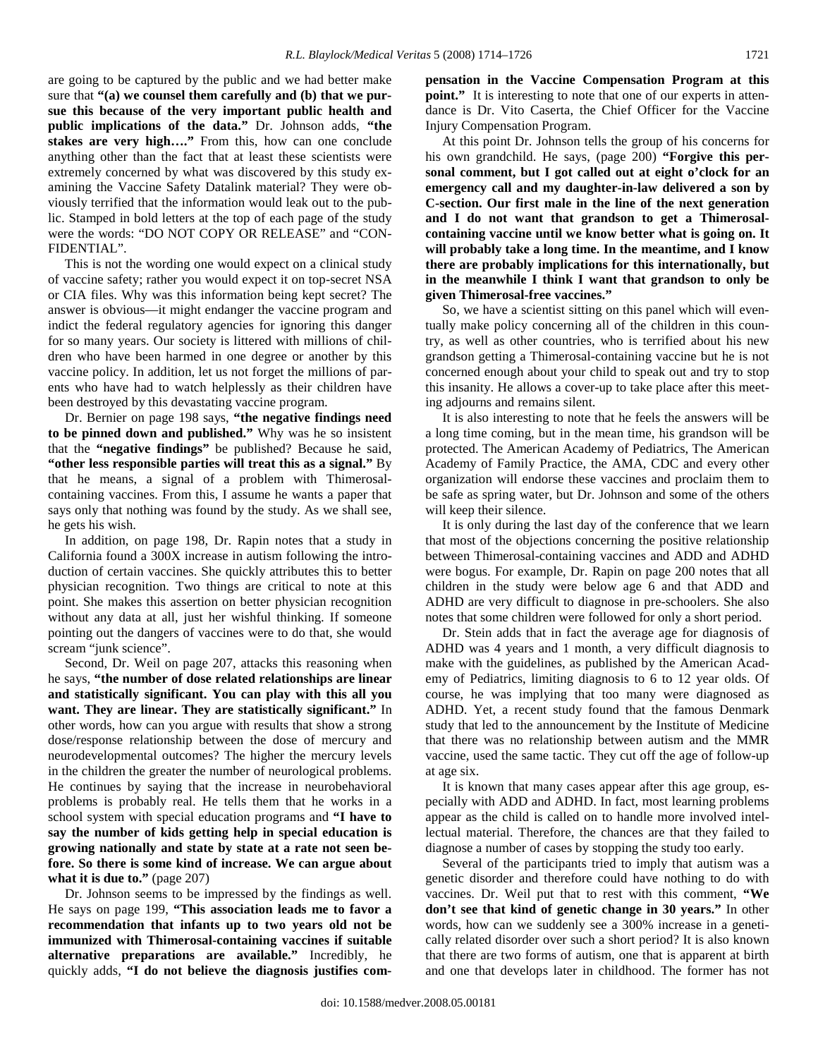are going to be captured by the public and we had better make sure that **"(a) we counsel them carefully and (b) that we pursue this because of the very important public health and public implications of the data."** Dr. Johnson adds, **"the stakes are very high…."** From this, how can one conclude anything other than the fact that at least these scientists were extremely concerned by what was discovered by this study examining the Vaccine Safety Datalink material? They were obviously terrified that the information would leak out to the public. Stamped in bold letters at the top of each page of the study were the words: "DO NOT COPY OR RELEASE" and "CON-FIDENTIAL".

 This is not the wording one would expect on a clinical study of vaccine safety; rather you would expect it on top-secret NSA or CIA files. Why was this information being kept secret? The answer is obvious—it might endanger the vaccine program and indict the federal regulatory agencies for ignoring this danger for so many years. Our society is littered with millions of children who have been harmed in one degree or another by this vaccine policy. In addition, let us not forget the millions of parents who have had to watch helplessly as their children have been destroyed by this devastating vaccine program.

 Dr. Bernier on page 198 says, **"the negative findings need to be pinned down and published."** Why was he so insistent that the **"negative findings"** be published? Because he said, **"other less responsible parties will treat this as a signal."** By that he means, a signal of a problem with Thimerosalcontaining vaccines. From this, I assume he wants a paper that says only that nothing was found by the study. As we shall see, he gets his wish.

 In addition, on page 198, Dr. Rapin notes that a study in California found a 300X increase in autism following the introduction of certain vaccines. She quickly attributes this to better physician recognition. Two things are critical to note at this point. She makes this assertion on better physician recognition without any data at all, just her wishful thinking. If someone pointing out the dangers of vaccines were to do that, she would scream "junk science".

 Second, Dr. Weil on page 207, attacks this reasoning when he says, **"the number of dose related relationships are linear and statistically significant. You can play with this all you want. They are linear. They are statistically significant."** In other words, how can you argue with results that show a strong dose/response relationship between the dose of mercury and neurodevelopmental outcomes? The higher the mercury levels in the children the greater the number of neurological problems. He continues by saying that the increase in neurobehavioral problems is probably real. He tells them that he works in a school system with special education programs and **"I have to say the number of kids getting help in special education is growing nationally and state by state at a rate not seen before. So there is some kind of increase. We can argue about what it is due to."** (page 207)

 Dr. Johnson seems to be impressed by the findings as well. He says on page 199, **"This association leads me to favor a recommendation that infants up to two years old not be immunized with Thimerosal-containing vaccines if suitable alternative preparations are available."** Incredibly, he quickly adds, **"I do not believe the diagnosis justifies com-** **pensation in the Vaccine Compensation Program at this point."** It is interesting to note that one of our experts in attendance is Dr. Vito Caserta, the Chief Officer for the Vaccine Injury Compensation Program.

 At this point Dr. Johnson tells the group of his concerns for his own grandchild. He says, (page 200) **"Forgive this personal comment, but I got called out at eight o'clock for an emergency call and my daughter-in-law delivered a son by C-section. Our first male in the line of the next generation and I do not want that grandson to get a Thimerosalcontaining vaccine until we know better what is going on. It will probably take a long time. In the meantime, and I know there are probably implications for this internationally, but in the meanwhile I think I want that grandson to only be given Thimerosal-free vaccines."**

 So, we have a scientist sitting on this panel which will eventually make policy concerning all of the children in this country, as well as other countries, who is terrified about his new grandson getting a Thimerosal-containing vaccine but he is not concerned enough about your child to speak out and try to stop this insanity. He allows a cover-up to take place after this meeting adjourns and remains silent.

 It is also interesting to note that he feels the answers will be a long time coming, but in the mean time, his grandson will be protected. The American Academy of Pediatrics, The American Academy of Family Practice, the AMA, CDC and every other organization will endorse these vaccines and proclaim them to be safe as spring water, but Dr. Johnson and some of the others will keep their silence.

 It is only during the last day of the conference that we learn that most of the objections concerning the positive relationship between Thimerosal-containing vaccines and ADD and ADHD were bogus. For example, Dr. Rapin on page 200 notes that all children in the study were below age 6 and that ADD and ADHD are very difficult to diagnose in pre-schoolers. She also notes that some children were followed for only a short period.

 Dr. Stein adds that in fact the average age for diagnosis of ADHD was 4 years and 1 month, a very difficult diagnosis to make with the guidelines, as published by the American Academy of Pediatrics, limiting diagnosis to 6 to 12 year olds. Of course, he was implying that too many were diagnosed as ADHD. Yet, a recent study found that the famous Denmark study that led to the announcement by the Institute of Medicine that there was no relationship between autism and the MMR vaccine, used the same tactic. They cut off the age of follow-up at age six.

 It is known that many cases appear after this age group, especially with ADD and ADHD. In fact, most learning problems appear as the child is called on to handle more involved intellectual material. Therefore, the chances are that they failed to diagnose a number of cases by stopping the study too early.

 Several of the participants tried to imply that autism was a genetic disorder and therefore could have nothing to do with vaccines. Dr. Weil put that to rest with this comment, **"We don't see that kind of genetic change in 30 years."** In other words, how can we suddenly see a 300% increase in a genetically related disorder over such a short period? It is also known that there are two forms of autism, one that is apparent at birth and one that develops later in childhood. The former has not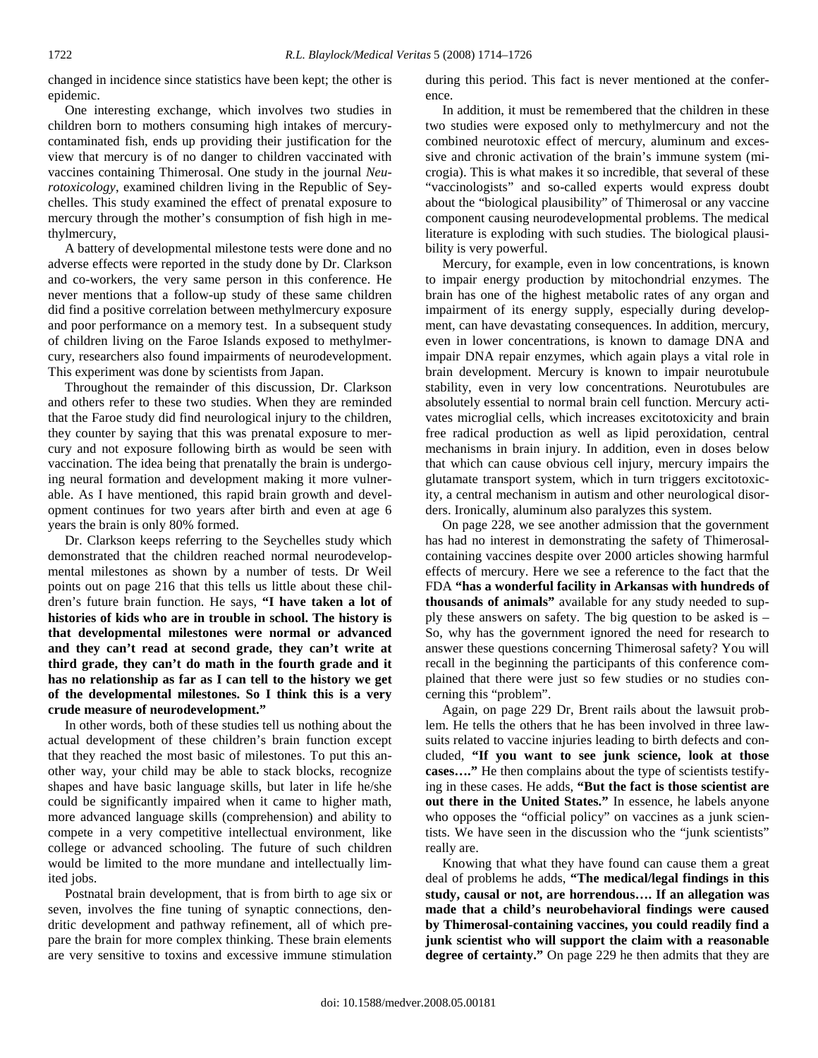changed in incidence since statistics have been kept; the other is epidemic.

 One interesting exchange, which involves two studies in children born to mothers consuming high intakes of mercurycontaminated fish, ends up providing their justification for the view that mercury is of no danger to children vaccinated with vaccines containing Thimerosal. One study in the journal *Neurotoxicology*, examined children living in the Republic of Seychelles. This study examined the effect of prenatal exposure to mercury through the mother's consumption of fish high in methylmercury,

 A battery of developmental milestone tests were done and no adverse effects were reported in the study done by Dr. Clarkson and co-workers, the very same person in this conference. He never mentions that a follow-up study of these same children did find a positive correlation between methylmercury exposure and poor performance on a memory test. In a subsequent study of children living on the Faroe Islands exposed to methylmercury, researchers also found impairments of neurodevelopment. This experiment was done by scientists from Japan.

 Throughout the remainder of this discussion, Dr. Clarkson and others refer to these two studies. When they are reminded that the Faroe study did find neurological injury to the children, they counter by saying that this was prenatal exposure to mercury and not exposure following birth as would be seen with vaccination. The idea being that prenatally the brain is undergoing neural formation and development making it more vulnerable. As I have mentioned, this rapid brain growth and development continues for two years after birth and even at age 6 years the brain is only 80% formed.

 Dr. Clarkson keeps referring to the Seychelles study which demonstrated that the children reached normal neurodevelopmental milestones as shown by a number of tests. Dr Weil points out on page 216 that this tells us little about these children's future brain function. He says, **"I have taken a lot of histories of kids who are in trouble in school. The history is that developmental milestones were normal or advanced and they can't read at second grade, they can't write at third grade, they can't do math in the fourth grade and it has no relationship as far as I can tell to the history we get of the developmental milestones. So I think this is a very crude measure of neurodevelopment."**

 In other words, both of these studies tell us nothing about the actual development of these children's brain function except that they reached the most basic of milestones. To put this another way, your child may be able to stack blocks, recognize shapes and have basic language skills, but later in life he/she could be significantly impaired when it came to higher math, more advanced language skills (comprehension) and ability to compete in a very competitive intellectual environment, like college or advanced schooling. The future of such children would be limited to the more mundane and intellectually limited jobs.

 Postnatal brain development, that is from birth to age six or seven, involves the fine tuning of synaptic connections, dendritic development and pathway refinement, all of which prepare the brain for more complex thinking. These brain elements are very sensitive to toxins and excessive immune stimulation during this period. This fact is never mentioned at the conference.

 In addition, it must be remembered that the children in these two studies were exposed only to methylmercury and not the combined neurotoxic effect of mercury, aluminum and excessive and chronic activation of the brain's immune system (microgia). This is what makes it so incredible, that several of these "vaccinologists" and so-called experts would express doubt about the "biological plausibility" of Thimerosal or any vaccine component causing neurodevelopmental problems. The medical literature is exploding with such studies. The biological plausibility is very powerful.

 Mercury, for example, even in low concentrations, is known to impair energy production by mitochondrial enzymes. The brain has one of the highest metabolic rates of any organ and impairment of its energy supply, especially during development, can have devastating consequences. In addition, mercury, even in lower concentrations, is known to damage DNA and impair DNA repair enzymes, which again plays a vital role in brain development. Mercury is known to impair neurotubule stability, even in very low concentrations. Neurotubules are absolutely essential to normal brain cell function. Mercury activates microglial cells, which increases excitotoxicity and brain free radical production as well as lipid peroxidation, central mechanisms in brain injury. In addition, even in doses below that which can cause obvious cell injury, mercury impairs the glutamate transport system, which in turn triggers excitotoxicity, a central mechanism in autism and other neurological disorders. Ironically, aluminum also paralyzes this system.

 On page 228, we see another admission that the government has had no interest in demonstrating the safety of Thimerosalcontaining vaccines despite over 2000 articles showing harmful effects of mercury. Here we see a reference to the fact that the FDA **"has a wonderful facility in Arkansas with hundreds of thousands of animals"** available for any study needed to supply these answers on safety. The big question to be asked is – So, why has the government ignored the need for research to answer these questions concerning Thimerosal safety? You will recall in the beginning the participants of this conference complained that there were just so few studies or no studies concerning this "problem".

 Again, on page 229 Dr, Brent rails about the lawsuit problem. He tells the others that he has been involved in three lawsuits related to vaccine injuries leading to birth defects and concluded, **"If you want to see junk science, look at those cases…."** He then complains about the type of scientists testifying in these cases. He adds, **"But the fact is those scientist are out there in the United States."** In essence, he labels anyone who opposes the "official policy" on vaccines as a junk scientists. We have seen in the discussion who the "junk scientists" really are.

 Knowing that what they have found can cause them a great deal of problems he adds, **"The medical/legal findings in this study, causal or not, are horrendous…. If an allegation was made that a child's neurobehavioral findings were caused by Thimerosal-containing vaccines, you could readily find a junk scientist who will support the claim with a reasonable degree of certainty."** On page 229 he then admits that they are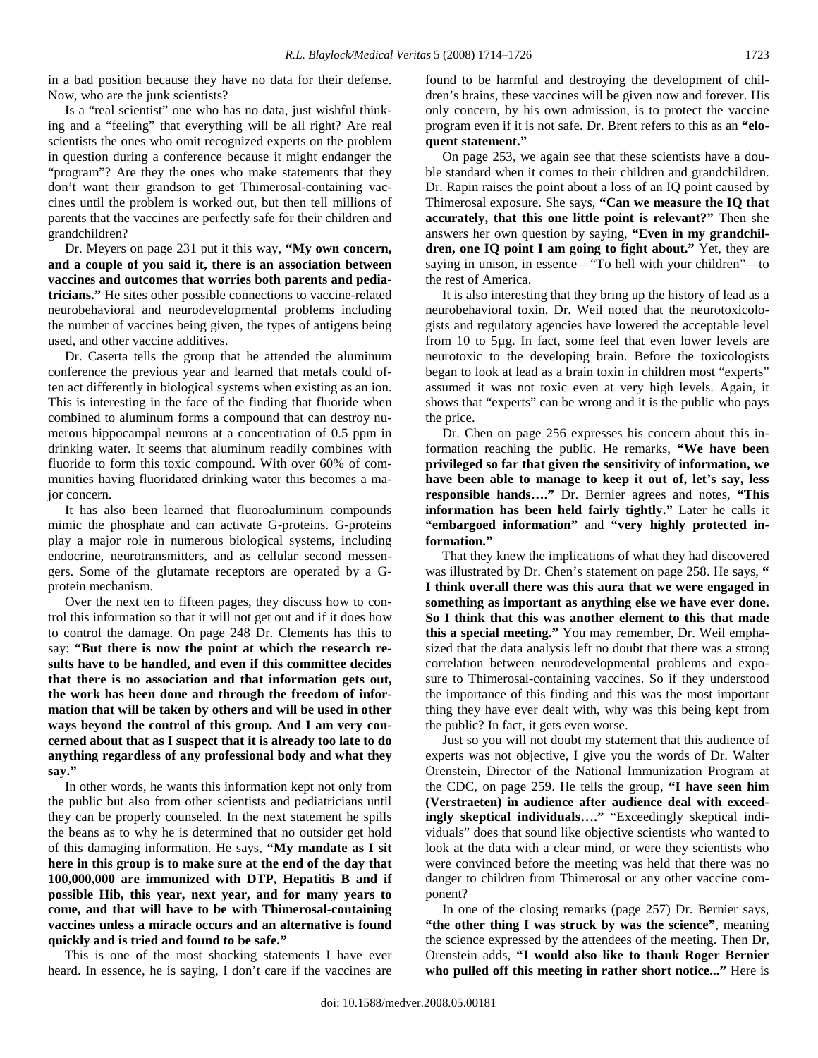in a bad position because they have no data for their defense. Now, who are the junk scientists?

 Is a "real scientist" one who has no data, just wishful thinking and a "feeling" that everything will be all right? Are real scientists the ones who omit recognized experts on the problem in question during a conference because it might endanger the "program"? Are they the ones who make statements that they don't want their grandson to get Thimerosal-containing vaccines until the problem is worked out, but then tell millions of parents that the vaccines are perfectly safe for their children and grandchildren?

 Dr. Meyers on page 231 put it this way, **"My own concern, and a couple of you said it, there is an association between vaccines and outcomes that worries both parents and pediatricians."** He sites other possible connections to vaccine-related neurobehavioral and neurodevelopmental problems including the number of vaccines being given, the types of antigens being used, and other vaccine additives.

 Dr. Caserta tells the group that he attended the aluminum conference the previous year and learned that metals could often act differently in biological systems when existing as an ion. This is interesting in the face of the finding that fluoride when combined to aluminum forms a compound that can destroy numerous hippocampal neurons at a concentration of 0.5 ppm in drinking water. It seems that aluminum readily combines with fluoride to form this toxic compound. With over 60% of communities having fluoridated drinking water this becomes a major concern.

 It has also been learned that fluoroaluminum compounds mimic the phosphate and can activate G-proteins. G-proteins play a major role in numerous biological systems, including endocrine, neurotransmitters, and as cellular second messengers. Some of the glutamate receptors are operated by a Gprotein mechanism.

 Over the next ten to fifteen pages, they discuss how to control this information so that it will not get out and if it does how to control the damage. On page 248 Dr. Clements has this to say: **"But there is now the point at which the research results have to be handled, and even if this committee decides that there is no association and that information gets out, the work has been done and through the freedom of information that will be taken by others and will be used in other ways beyond the control of this group. And I am very concerned about that as I suspect that it is already too late to do anything regardless of any professional body and what they say."** 

 In other words, he wants this information kept not only from the public but also from other scientists and pediatricians until they can be properly counseled. In the next statement he spills the beans as to why he is determined that no outsider get hold of this damaging information. He says, **"My mandate as I sit here in this group is to make sure at the end of the day that 100,000,000 are immunized with DTP, Hepatitis B and if possible Hib, this year, next year, and for many years to come, and that will have to be with Thimerosal-containing vaccines unless a miracle occurs and an alternative is found quickly and is tried and found to be safe."** 

 This is one of the most shocking statements I have ever heard. In essence, he is saying, I don't care if the vaccines are found to be harmful and destroying the development of children's brains, these vaccines will be given now and forever. His only concern, by his own admission, is to protect the vaccine program even if it is not safe. Dr. Brent refers to this as an **"eloquent statement."**

 On page 253, we again see that these scientists have a double standard when it comes to their children and grandchildren. Dr. Rapin raises the point about a loss of an IQ point caused by Thimerosal exposure. She says, **"Can we measure the IQ that accurately, that this one little point is relevant?"** Then she answers her own question by saying, **"Even in my grandchildren, one IQ point I am going to fight about."** Yet, they are saying in unison, in essence—"To hell with your children"—to the rest of America.

 It is also interesting that they bring up the history of lead as a neurobehavioral toxin. Dr. Weil noted that the neurotoxicologists and regulatory agencies have lowered the acceptable level from 10 to 5µg. In fact, some feel that even lower levels are neurotoxic to the developing brain. Before the toxicologists began to look at lead as a brain toxin in children most "experts" assumed it was not toxic even at very high levels. Again, it shows that "experts" can be wrong and it is the public who pays the price.

 Dr. Chen on page 256 expresses his concern about this information reaching the public. He remarks, **"We have been privileged so far that given the sensitivity of information, we have been able to manage to keep it out of, let's say, less responsible hands…."** Dr. Bernier agrees and notes, **"This information has been held fairly tightly."** Later he calls it **"embargoed information"** and **"very highly protected information."** 

 That they knew the implications of what they had discovered was illustrated by Dr. Chen's statement on page 258. He says, **" I think overall there was this aura that we were engaged in something as important as anything else we have ever done. So I think that this was another element to this that made this a special meeting."** You may remember, Dr. Weil emphasized that the data analysis left no doubt that there was a strong correlation between neurodevelopmental problems and exposure to Thimerosal-containing vaccines. So if they understood the importance of this finding and this was the most important thing they have ever dealt with, why was this being kept from the public? In fact, it gets even worse.

 Just so you will not doubt my statement that this audience of experts was not objective, I give you the words of Dr. Walter Orenstein, Director of the National Immunization Program at the CDC, on page 259. He tells the group, **"I have seen him (Verstraeten) in audience after audience deal with exceedingly skeptical individuals…."** "Exceedingly skeptical individuals" does that sound like objective scientists who wanted to look at the data with a clear mind, or were they scientists who were convinced before the meeting was held that there was no danger to children from Thimerosal or any other vaccine component?

 In one of the closing remarks (page 257) Dr. Bernier says, **"the other thing I was struck by was the science"**, meaning the science expressed by the attendees of the meeting. Then Dr, Orenstein adds, **"I would also like to thank Roger Bernier who pulled off this meeting in rather short notice..."** Here is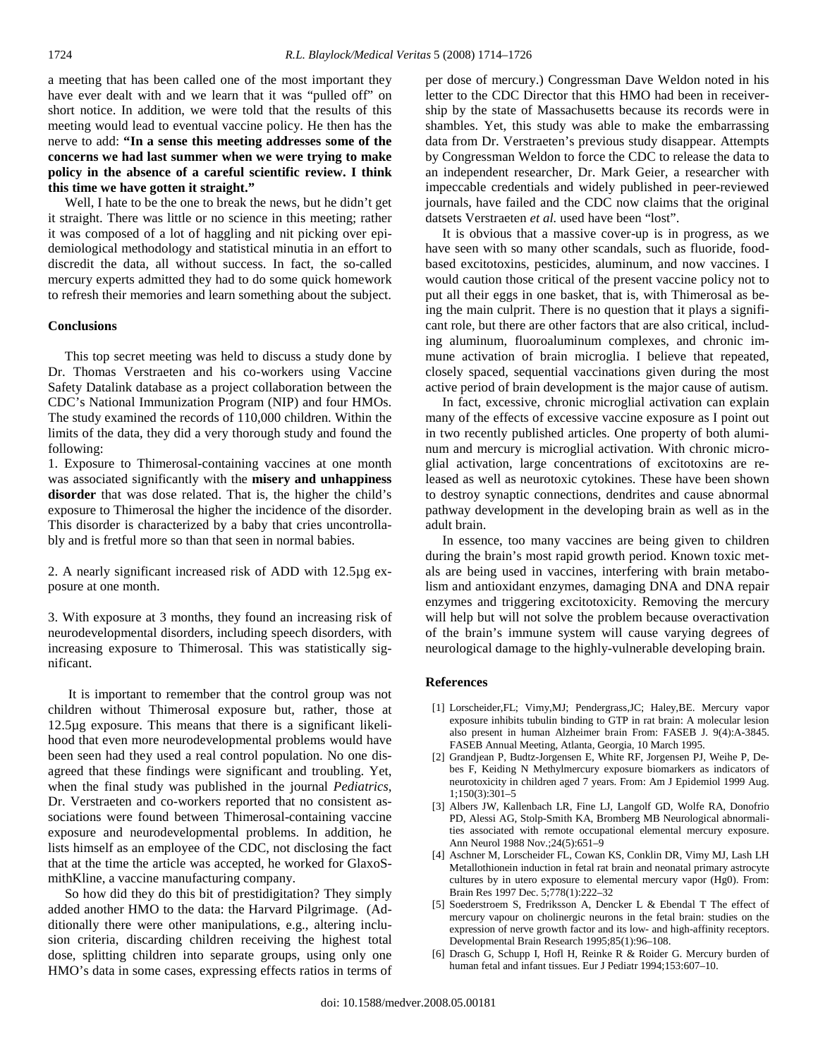a meeting that has been called one of the most important they have ever dealt with and we learn that it was "pulled off" on short notice. In addition, we were told that the results of this meeting would lead to eventual vaccine policy. He then has the nerve to add: **"In a sense this meeting addresses some of the concerns we had last summer when we were trying to make policy in the absence of a careful scientific review. I think this time we have gotten it straight."** 

 Well, I hate to be the one to break the news, but he didn't get it straight. There was little or no science in this meeting; rather it was composed of a lot of haggling and nit picking over epidemiological methodology and statistical minutia in an effort to discredit the data, all without success. In fact, the so-called mercury experts admitted they had to do some quick homework to refresh their memories and learn something about the subject.

### **Conclusions**

 This top secret meeting was held to discuss a study done by Dr. Thomas Verstraeten and his co-workers using Vaccine Safety Datalink database as a project collaboration between the CDC's National Immunization Program (NIP) and four HMOs. The study examined the records of 110,000 children. Within the limits of the data, they did a very thorough study and found the following:

1. Exposure to Thimerosal-containing vaccines at one month was associated significantly with the **misery and unhappiness disorder** that was dose related. That is, the higher the child's exposure to Thimerosal the higher the incidence of the disorder. This disorder is characterized by a baby that cries uncontrollably and is fretful more so than that seen in normal babies.

2. A nearly significant increased risk of ADD with 12.5µg exposure at one month.

3. With exposure at 3 months, they found an increasing risk of neurodevelopmental disorders, including speech disorders, with increasing exposure to Thimerosal. This was statistically significant.

 It is important to remember that the control group was not children without Thimerosal exposure but, rather, those at 12.5µg exposure. This means that there is a significant likelihood that even more neurodevelopmental problems would have been seen had they used a real control population. No one disagreed that these findings were significant and troubling. Yet, when the final study was published in the journal *Pediatrics*, Dr. Verstraeten and co-workers reported that no consistent associations were found between Thimerosal-containing vaccine exposure and neurodevelopmental problems. In addition, he lists himself as an employee of the CDC, not disclosing the fact that at the time the article was accepted, he worked for GlaxoSmithKline, a vaccine manufacturing company.

 So how did they do this bit of prestidigitation? They simply added another HMO to the data: the Harvard Pilgrimage. (Additionally there were other manipulations, e.g., altering inclusion criteria, discarding children receiving the highest total dose, splitting children into separate groups, using only one HMO's data in some cases, expressing effects ratios in terms of per dose of mercury.) Congressman Dave Weldon noted in his letter to the CDC Director that this HMO had been in receivership by the state of Massachusetts because its records were in shambles. Yet, this study was able to make the embarrassing data from Dr. Verstraeten's previous study disappear. Attempts by Congressman Weldon to force the CDC to release the data to an independent researcher, Dr. Mark Geier, a researcher with impeccable credentials and widely published in peer-reviewed journals, have failed and the CDC now claims that the original datsets Verstraeten et al. used have been "lost".

 It is obvious that a massive cover-up is in progress, as we have seen with so many other scandals, such as fluoride, foodbased excitotoxins, pesticides, aluminum, and now vaccines. I would caution those critical of the present vaccine policy not to put all their eggs in one basket, that is, with Thimerosal as being the main culprit. There is no question that it plays a significant role, but there are other factors that are also critical, including aluminum, fluoroaluminum complexes, and chronic immune activation of brain microglia. I believe that repeated, closely spaced, sequential vaccinations given during the most active period of brain development is the major cause of autism.

 In fact, excessive, chronic microglial activation can explain many of the effects of excessive vaccine exposure as I point out in two recently published articles. One property of both aluminum and mercury is microglial activation. With chronic microglial activation, large concentrations of excitotoxins are released as well as neurotoxic cytokines. These have been shown to destroy synaptic connections, dendrites and cause abnormal pathway development in the developing brain as well as in the adult brain.

 In essence, too many vaccines are being given to children during the brain's most rapid growth period. Known toxic metals are being used in vaccines, interfering with brain metabolism and antioxidant enzymes, damaging DNA and DNA repair enzymes and triggering excitotoxicity. Removing the mercury will help but will not solve the problem because overactivation of the brain's immune system will cause varying degrees of neurological damage to the highly-vulnerable developing brain.

#### **References**

- [1] Lorscheider, FL; Vimy, MJ; Pendergrass, JC; Haley, BE. Mercury vapor exposure inhibits tubulin binding to GTP in rat brain: A molecular lesion also present in human Alzheimer brain From: FASEB J. 9(4):A-3845. FASEB Annual Meeting, Atlanta, Georgia, 10 March 1995.
- [2] Grandjean P, Budtz-Jorgensen E, White RF, Jorgensen PJ, Weihe P, Debes F, Keiding N Methylmercury exposure biomarkers as indicators of neurotoxicity in children aged 7 years. From: Am J Epidemiol 1999 Aug. 1;150(3):301–5
- [3] Albers JW, Kallenbach LR, Fine LJ, Langolf GD, Wolfe RA, Donofrio PD, Alessi AG, Stolp-Smith KA, Bromberg MB Neurological abnormalities associated with remote occupational elemental mercury exposure. Ann Neurol 1988 Nov.;24(5):651–9
- [4] Aschner M, Lorscheider FL, Cowan KS, Conklin DR, Vimy MJ, Lash LH Metallothionein induction in fetal rat brain and neonatal primary astrocyte cultures by in utero exposure to elemental mercury vapor (Hg0). From: Brain Res 1997 Dec. 5;778(1):222–32
- [5] Soederstroem S, Fredriksson A, Dencker L & Ebendal T The effect of mercury vapour on cholinergic neurons in the fetal brain: studies on the expression of nerve growth factor and its low- and high-affinity receptors. Developmental Brain Research 1995;85(1):96–108.
- [6] Drasch G, Schupp I, Hofl H, Reinke R & Roider G. Mercury burden of human fetal and infant tissues. Eur J Pediatr 1994;153:607–10.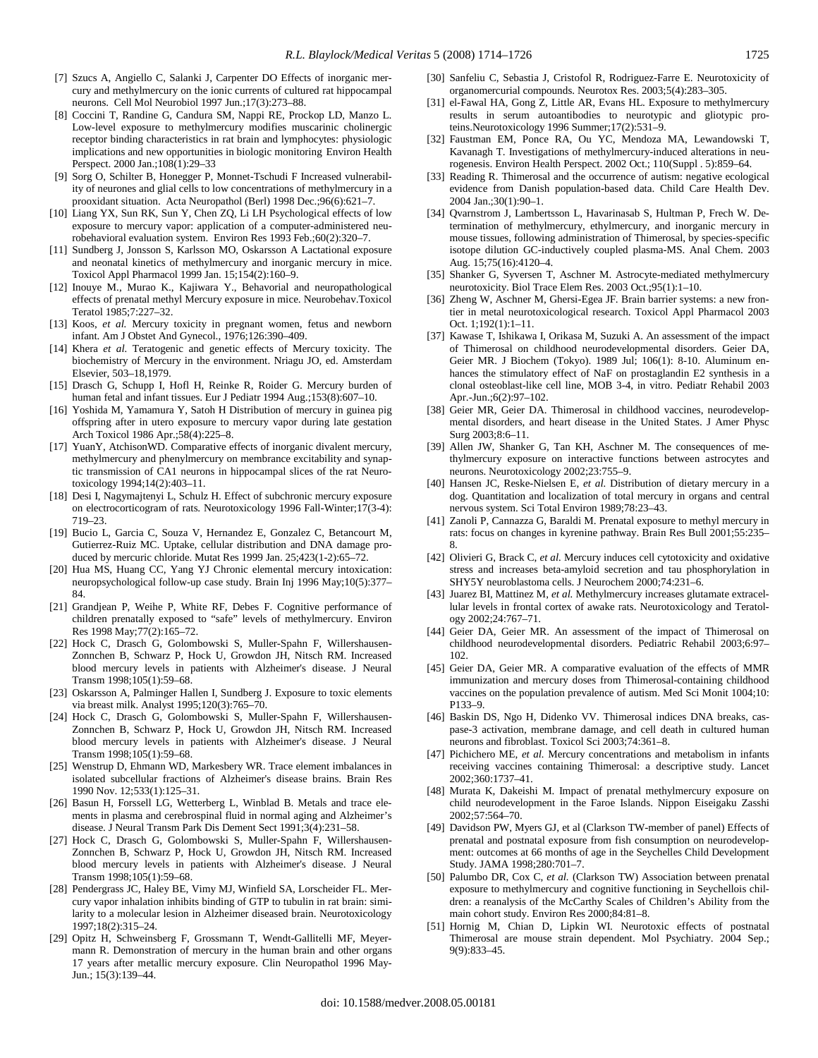- [7] Szucs A, Angiello C, Salanki J, Carpenter DO Effects of inorganic mercury and methylmercury on the ionic currents of cultured rat hippocampal neurons. Cell Mol Neurobiol 1997 Jun.;17(3):273–88.
- [8] Coccini T, Randine G, Candura SM, Nappi RE, Prockop LD, Manzo L. Low-level exposure to methylmercury modifies muscarinic cholinergic receptor binding characteristics in rat brain and lymphocytes: physiologic implications and new opportunities in biologic monitoring Environ Health Perspect. 2000 Jan.;108(1):29–33
- [9] Sorg O, Schilter B, Honegger P, Monnet-Tschudi F Increased vulnerability of neurones and glial cells to low concentrations of methylmercury in a prooxidant situation. Acta Neuropathol (Berl) 1998 Dec.;96(6):621–7.
- [10] Liang YX, Sun RK, Sun Y, Chen ZQ, Li LH Psychological effects of low exposure to mercury vapor: application of a computer-administered neurobehavioral evaluation system. Environ Res 1993 Feb.;60(2):320–7.
- [11] Sundberg J, Jonsson S, Karlsson MO, Oskarsson A Lactational exposure and neonatal kinetics of methylmercury and inorganic mercury in mice. Toxicol Appl Pharmacol 1999 Jan. 15;154(2):160–9.
- [12] Inouye M., Murao K., Kajiwara Y., Behavorial and neuropathological effects of prenatal methyl Mercury exposure in mice. Neurobehav.Toxicol Teratol 1985;7:227–32.
- [13] Koos, et al. Mercury toxicity in pregnant women, fetus and newborn infant. Am J Obstet And Gynecol., 1976;126:390–409.
- [14] Khera *et al.* Teratogenic and genetic effects of Mercury toxicity. The biochemistry of Mercury in the environment. Nriagu JO, ed. Amsterdam Elsevier, 503–18,1979.
- [15] Drasch G, Schupp I, Hofl H, Reinke R, Roider G. Mercury burden of human fetal and infant tissues. Eur J Pediatr 1994 Aug.;153(8):607–10.
- [16] Yoshida M, Yamamura Y, Satoh H Distribution of mercury in guinea pig offspring after in utero exposure to mercury vapor during late gestation Arch Toxicol 1986 Apr.;58(4):225–8.
- [17] YuanY, AtchisonWD. Comparative effects of inorganic divalent mercury, methylmercury and phenylmercury on membrance excitability and synaptic transmission of CA1 neurons in hippocampal slices of the rat Neurotoxicology 1994;14(2):403–11.
- [18] Desi I, Nagymajtenyi L, Schulz H. Effect of subchronic mercury exposure on electrocorticogram of rats. Neurotoxicology 1996 Fall-Winter;17(3-4): 719–23.
- [19] Bucio L, Garcia C, Souza V, Hernandez E, Gonzalez C, Betancourt M, Gutierrez-Ruiz MC. Uptake, cellular distribution and DNA damage produced by mercuric chloride. Mutat Res 1999 Jan. 25;423(1-2):65–72.
- [20] Hua MS, Huang CC, Yang YJ Chronic elemental mercury intoxication: neuropsychological follow-up case study. Brain Inj 1996 May;10(5):377– 84.
- [21] Grandjean P, Weihe P, White RF, Debes F. Cognitive performance of children prenatally exposed to "safe" levels of methylmercury. Environ Res 1998 May;77(2):165–72.
- [22] Hock C, Drasch G, Golombowski S, Muller-Spahn F, Willershausen-Zonnchen B, Schwarz P, Hock U, Growdon JH, Nitsch RM. Increased blood mercury levels in patients with Alzheimer's disease. J Neural Transm 1998;105(1):59–68.
- [23] Oskarsson A, Palminger Hallen I, Sundberg J. Exposure to toxic elements via breast milk. Analyst 1995;120(3):765–70.
- [24] Hock C, Drasch G, Golombowski S, Muller-Spahn F, Willershausen-Zonnchen B, Schwarz P, Hock U, Growdon JH, Nitsch RM. Increased blood mercury levels in patients with Alzheimer's disease. J Neural Transm 1998;105(1):59–68.
- [25] Wenstrup D, Ehmann WD, Markesbery WR. Trace element imbalances in isolated subcellular fractions of Alzheimer's disease brains. Brain Res 1990 Nov. 12;533(1):125–31.
- [26] Basun H, Forssell LG, Wetterberg L, Winblad B. Metals and trace elements in plasma and cerebrospinal fluid in normal aging and Alzheimer's disease. J Neural Transm Park Dis Dement Sect 1991;3(4):231–58.
- [27] Hock C, Drasch G, Golombowski S, Muller-Spahn F, Willershausen-Zonnchen B, Schwarz P, Hock U, Growdon JH, Nitsch RM. Increased blood mercury levels in patients with Alzheimer's disease. J Neural Transm 1998;105(1):59–68.
- [28] Pendergrass JC, Haley BE, Vimy MJ, Winfield SA, Lorscheider FL. Mercury vapor inhalation inhibits binding of GTP to tubulin in rat brain: similarity to a molecular lesion in Alzheimer diseased brain. Neurotoxicology 1997;18(2):315–24.
- [29] Opitz H, Schweinsberg F, Grossmann T, Wendt-Gallitelli MF, Meyermann R. Demonstration of mercury in the human brain and other organs 17 years after metallic mercury exposure. Clin Neuropathol 1996 May-Jun.; 15(3):139–44.
- [30] Sanfeliu C, Sebastia J, Cristofol R, Rodriguez-Farre E. Neurotoxicity of organomercurial compounds. Neurotox Res. 2003;5(4):283–305.
- [31] el-Fawal HA, Gong Z, Little AR, Evans HL. Exposure to methylmercury results in serum autoantibodies to neurotypic and gliotypic proteins.Neurotoxicology 1996 Summer;17(2):531–9.
- [32] Faustman EM, Ponce RA, Ou YC, Mendoza MA, Lewandowski T, Kavanagh T. Investigations of methylmercury-induced alterations in neurogenesis. Environ Health Perspect. 2002 Oct.; 110(Suppl . 5):859–64.
- [33] Reading R. Thimerosal and the occurrence of autism: negative ecological evidence from Danish population-based data. Child Care Health Dev. 2004 Jan.;30(1):90–1.
- [34] Qvarnstrom J, Lambertsson L, Havarinasab S, Hultman P, Frech W. Determination of methylmercury, ethylmercury, and inorganic mercury in mouse tissues, following administration of Thimerosal, by species-specific isotope dilution GC-inductively coupled plasma-MS. Anal Chem. 2003 Aug. 15;75(16):4120–4.
- [35] Shanker G, Syversen T, Aschner M. Astrocyte-mediated methylmercury neurotoxicity. Biol Trace Elem Res. 2003 Oct.;95(1):1–10.
- [36] Zheng W, Aschner M, Ghersi-Egea JF. Brain barrier systems: a new frontier in metal neurotoxicological research. Toxicol Appl Pharmacol 2003 Oct. 1;192(1):1–11.
- [37] Kawase T, Ishikawa I, Orikasa M, Suzuki A. An assessment of the impact of Thimerosal on childhood neurodevelopmental disorders. Geier DA, Geier MR. J Biochem (Tokyo). 1989 Jul; 106(1): 8-10. Aluminum enhances the stimulatory effect of NaF on prostaglandin E2 synthesis in a clonal osteoblast-like cell line, MOB 3-4, in vitro. Pediatr Rehabil 2003 Apr.-Jun.;6(2):97–102.
- [38] Geier MR, Geier DA. Thimerosal in childhood vaccines, neurodevelopmental disorders, and heart disease in the United States. J Amer Physc Surg 2003;8:6–11.
- [39] Allen JW, Shanker G, Tan KH, Aschner M. The consequences of methylmercury exposure on interactive functions between astrocytes and neurons. Neurotoxicology 2002;23:755–9.
- [40] Hansen JC, Reske-Nielsen E, *et al.* Distribution of dietary mercury in a dog. Quantitation and localization of total mercury in organs and central nervous system. Sci Total Environ 1989;78:23–43.
- [41] Zanoli P, Cannazza G, Baraldi M. Prenatal exposure to methyl mercury in rats: focus on changes in kyrenine pathway. Brain Res Bull 2001;55:235– 8.
- [42] Olivieri G, Brack C, *et al.* Mercury induces cell cytotoxicity and oxidative stress and increases beta-amyloid secretion and tau phosphorylation in SHY5Y neuroblastoma cells. J Neurochem 2000;74:231–6.
- [43] Juarez BI, Mattinez M, et al. Methylmercury increases glutamate extracellular levels in frontal cortex of awake rats. Neurotoxicology and Teratology 2002;24:767–71.
- [44] Geier DA, Geier MR. An assessment of the impact of Thimerosal on childhood neurodevelopmental disorders. Pediatric Rehabil 2003;6:97– 102.
- [45] Geier DA, Geier MR. A comparative evaluation of the effects of MMR immunization and mercury doses from Thimerosal-containing childhood vaccines on the population prevalence of autism. Med Sci Monit 1004;10: P133–9.
- [46] Baskin DS, Ngo H, Didenko VV. Thimerosal indices DNA breaks, caspase-3 activation, membrane damage, and cell death in cultured human neurons and fibroblast. Toxicol Sci 2003;74:361–8.
- [47] Pichichero ME, *et al.* Mercury concentrations and metabolism in infants receiving vaccines containing Thimerosal: a descriptive study. Lancet 2002;360:1737–41.
- [48] Murata K, Dakeishi M. Impact of prenatal methylmercury exposure on child neurodevelopment in the Faroe Islands. Nippon Eiseigaku Zasshi 2002;57:564–70.
- [49] Davidson PW, Myers GJ, et al (Clarkson TW-member of panel) Effects of prenatal and postnatal exposure from fish consumption on neurodevelopment: outcomes at 66 months of age in the Seychelles Child Development Study. JAMA 1998;280:701–7.
- [50] Palumbo DR, Cox C, *et al.* (Clarkson TW) Association between prenatal exposure to methylmercury and cognitive functioning in Seychellois children: a reanalysis of the McCarthy Scales of Children's Ability from the main cohort study. Environ Res 2000;84:81–8.
- [51] Hornig M, Chian D, Lipkin WI. Neurotoxic effects of postnatal Thimerosal are mouse strain dependent. Mol Psychiatry. 2004 Sep.; 9(9):833–45.